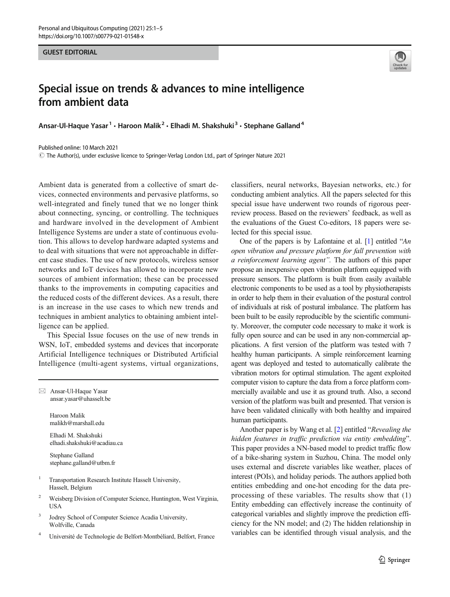## GUEST EDITORIAL

## Special issue on trends & advances to mine intelligence from ambient data

Ansar-Ul-Haque Yasar<sup>1</sup> · Haroon Malik<sup>2</sup> · Elhadi M. Shakshuki<sup>3</sup> · Stephane Galland<sup>4</sup>

Published online: 10 March 2021

 $\copyright$  The Author(s), under exclusive licence to Springer-Verlag London Ltd., part of Springer Nature 2021

Ambient data is generated from a collective of smart devices, connected environments and pervasive platforms, so well-integrated and finely tuned that we no longer think about connecting, syncing, or controlling. The techniques and hardware involved in the development of Ambient Intelligence Systems are under a state of continuous evolution. This allows to develop hardware adapted systems and to deal with situations that were not approachable in different case studies. The use of new protocols, wireless sensor networks and IoT devices has allowed to incorporate new sources of ambient information; these can be processed thanks to the improvements in computing capacities and the reduced costs of the different devices. As a result, there is an increase in the use cases to which new trends and techniques in ambient analytics to obtaining ambient intelligence can be applied.

This Special Issue focuses on the use of new trends in WSN, IoT, embedded systems and devices that incorporate Artificial Intelligence techniques or Distributed Artificial Intelligence (multi-agent systems, virtual organizations,

 $\boxtimes$  Ansar-Ul-Haque Yasar [ansar.yasar@uhasselt.be](mailto:ansar.yasar@uhasselt.be)

> Haroon Malik malikh@marshall.edu

Elhadi M. Shakshuki elhadi.shakshuki@acadiau.ca

Stephane Galland stephane.galland@utbm.fr

- <sup>1</sup> Transportation Research Institute Hasselt University, Hasselt, Belgium
- <sup>2</sup> Weisberg Division of Computer Science, Huntington, West Virginia, USA
- <sup>3</sup> Jodrey School of Computer Science Acadia University, Wolfville, Canada
- <sup>4</sup> Université de Technologie de Belfort-Montbéliard, Belfort, France

classifiers, neural networks, Bayesian networks, etc.) for conducting ambient analytics. All the papers selected for this special issue have underwent two rounds of rigorous peerreview process. Based on the reviewers' feedback, as well as the evaluations of the Guest Co-editors, 18 papers were selected for this special issue.

One of the papers is by Lafontaine et al. [\[1\]](#page-3-0) entitled "An open vibration and pressure platform for fall prevention with a reinforcement learning agent". The authors of this paper propose an inexpensive open vibration platform equipped with pressure sensors. The platform is built from easily available electronic components to be used as a tool by physiotherapists in order to help them in their evaluation of the postural control of individuals at risk of postural imbalance. The platform has been built to be easily reproducible by the scientific community. Moreover, the computer code necessary to make it work is fully open source and can be used in any non-commercial applications. A first version of the platform was tested with 7 healthy human participants. A simple reinforcement learning agent was deployed and tested to automatically calibrate the vibration motors for optimal stimulation. The agent exploited computer vision to capture the data from a force platform commercially available and use it as ground truth. Also, a second version of the platform was built and presented. That version is have been validated clinically with both healthy and impaired human participants.

Another paper is by Wang et al. [[2\]](#page-3-0) entitled "Revealing the hidden features in traffic prediction via entity embedding". This paper provides a NN-based model to predict traffic flow of a bike-sharing system in Suzhou, China. The model only uses external and discrete variables like weather, places of interest (POIs), and holiday periods. The authors applied both entities embedding and one-hot encoding for the data preprocessing of these variables. The results show that (1) Entity embedding can effectively increase the continuity of categorical variables and slightly improve the prediction efficiency for the NN model; and (2) The hidden relationship in variables can be identified through visual analysis, and the

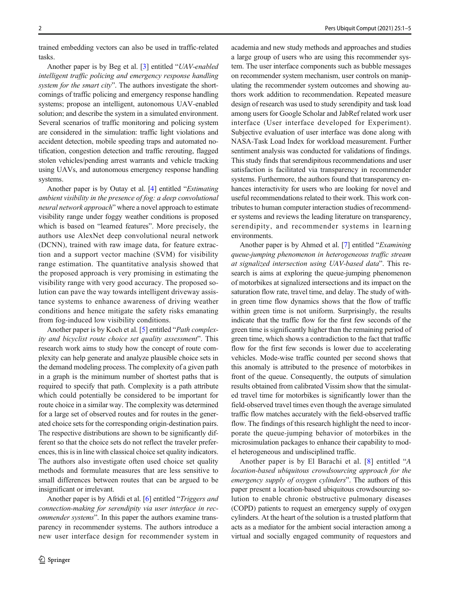trained embedding vectors can also be used in traffic-related tasks.

Another paper is by Beg et al. [[3\]](#page-4-0) entitled "UAV-enabled intelligent traffic policing and emergency response handling system for the smart city". The authors investigate the shortcomings of traffic policing and emergency response handling systems; propose an intelligent, autonomous UAV-enabled solution; and describe the system in a simulated environment. Several scenarios of traffic monitoring and policing system are considered in the simulation: traffic light violations and accident detection, mobile speeding traps and automated notification, congestion detection and traffic rerouting, flagged stolen vehicles/pending arrest warrants and vehicle tracking using UAVs, and autonomous emergency response handling systems.

Another paper is by Outay et al. [\[4](#page-4-0)] entitled "Estimating ambient visibility in the presence of fog: a deep convolutional neural network approach" where a novel approach to estimate visibility range under foggy weather conditions is proposed which is based on "learned features". More precisely, the authors use AlexNet deep convolutional neural network (DCNN), trained with raw image data, for feature extraction and a support vector machine (SVM) for visibility range estimation. The quantitative analysis showed that the proposed approach is very promising in estimating the visibility range with very good accuracy. The proposed solution can pave the way towards intelligent driveway assistance systems to enhance awareness of driving weather conditions and hence mitigate the safety risks emanating from fog-induced low visibility conditions.

Another paper is by Koch et al. [[5\]](#page-4-0) entitled "Path complexity and bicyclist route choice set quality assessment". This research work aims to study how the concept of route complexity can help generate and analyze plausible choice sets in the demand modeling process. The complexity of a given path in a graph is the minimum number of shortest paths that is required to specify that path. Complexity is a path attribute which could potentially be considered to be important for route choice in a similar way. The complexity was determined for a large set of observed routes and for routes in the generated choice sets for the corresponding origin-destination pairs. The respective distributions are shown to be significantly different so that the choice sets do not reflect the traveler preferences, this is in line with classical choice set quality indicators. The authors also investigate often used choice set quality methods and formulate measures that are less sensitive to small differences between routes that can be argued to be insignificant or irrelevant.

Another paper is by Afridi et al. [\[6](#page-4-0)] entitled "Triggers and connection-making for serendipity via user interface in recommender systems". In this paper the authors examine transparency in recommender systems. The authors introduce a new user interface design for recommender system in

academia and new study methods and approaches and studies a large group of users who are using this recommender system. The user interface components such as bubble messages on recommender system mechanism, user controls on manipulating the recommender system outcomes and showing authors work addition to recommendation. Repeated measure design of research was used to study serendipity and task load among users for Google Scholar and JabRef related work user interface (User interface developed for Experiment). Subjective evaluation of user interface was done along with NASA-Task Load Index for workload measurement. Further sentiment analysis was conducted for validations of findings. This study finds that serendipitous recommendations and user satisfaction is facilitated via transparency in recommender systems. Furthermore, the authors found that transparency enhances interactivity for users who are looking for novel and useful recommendations related to their work. This work contributes to human computer interaction studies of recommender systems and reviews the leading literature on transparency, serendipity, and recommender systems in learning environments.

Another paper is by Ahmed et al. [\[7](#page-4-0)] entitled "Examining queue-jumping phenomenon in heterogeneous traffic stream at signalized intersection using UAV-based data". This research is aims at exploring the queue-jumping phenomenon of motorbikes at signalized intersections and its impact on the saturation flow rate, travel time, and delay. The study of within green time flow dynamics shows that the flow of traffic within green time is not uniform. Surprisingly, the results indicate that the traffic flow for the first few seconds of the green time is significantly higher than the remaining period of green time, which shows a contradiction to the fact that traffic flow for the first few seconds is lower due to accelerating vehicles. Mode-wise traffic counted per second shows that this anomaly is attributed to the presence of motorbikes in front of the queue. Consequently, the outputs of simulation results obtained from calibrated Vissim show that the simulated travel time for motorbikes is significantly lower than the field-observed travel times even though the average simulated traffic flow matches accurately with the field-observed traffic flow. The findings of this research highlight the need to incorporate the queue-jumping behavior of motorbikes in the microsimulation packages to enhance their capability to model heterogeneous and undisciplined traffic.

Another paper is by El Barachi et al. [[8](#page-4-0)] entitled "A location-based ubiquitous crowdsourcing approach for the emergency supply of oxygen cylinders". The authors of this paper present a location-based ubiquitous crowdsourcing solution to enable chronic obstructive pulmonary diseases (COPD) patients to request an emergency supply of oxygen cylinders. At the heart of the solution is a trusted platform that acts as a mediator for the ambient social interaction among a virtual and socially engaged community of requestors and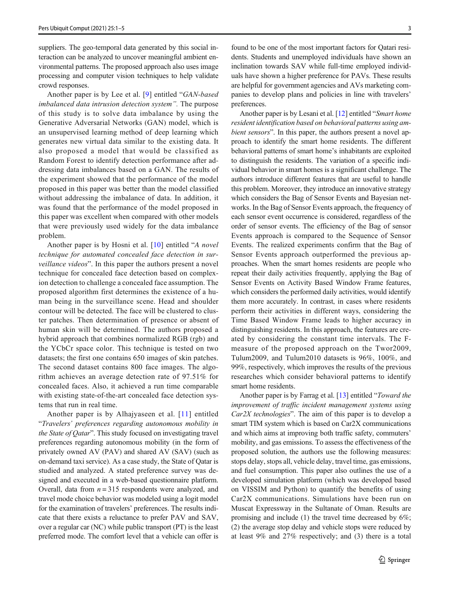suppliers. The geo-temporal data generated by this social interaction can be analyzed to uncover meaningful ambient environmental patterns. The proposed approach also uses image processing and computer vision techniques to help validate crowd responses.

Another paper is by Lee et al. [[9\]](#page-4-0) entitled "GAN-based imbalanced data intrusion detection system". The purpose of this study is to solve data imbalance by using the Generative Adversarial Networks (GAN) model, which is an unsupervised learning method of deep learning which generates new virtual data similar to the existing data. It also proposed a model that would be classified as Random Forest to identify detection performance after addressing data imbalances based on a GAN. The results of the experiment showed that the performance of the model proposed in this paper was better than the model classified without addressing the imbalance of data. In addition, it was found that the performance of the model proposed in this paper was excellent when compared with other models that were previously used widely for the data imbalance problem.

Another paper is by Hosni et al. [[10](#page-4-0)] entitled "A novel technique for automated concealed face detection in surveillance videos". In this paper the authors present a novel technique for concealed face detection based on complexion detection to challenge a concealed face assumption. The proposed algorithm first determines the existence of a human being in the surveillance scene. Head and shoulder contour will be detected. The face will be clustered to cluster patches. Then determination of presence or absent of human skin will be determined. The authors proposed a hybrid approach that combines normalized RGB (rgb) and the YCbCr space color. This technique is tested on two datasets; the first one contains 650 images of skin patches. The second dataset contains 800 face images. The algorithm achieves an average detection rate of 97.51% for concealed faces. Also, it achieved a run time comparable with existing state-of-the-art concealed face detection systems that run in real time.

Another paper is by Alhajyaseen et al. [[11](#page-4-0)] entitled "Travelers' preferences regarding autonomous mobility in the State of Qatar". This study focused on investigating travel preferences regarding autonomous mobility (in the form of privately owned AV (PAV) and shared AV (SAV) (such as on-demand taxi service). As a case study, the State of Qatar is studied and analyzed. A stated preference survey was designed and executed in a web-based questionnaire platform. Overall, data from  $n = 315$  respondents were analyzed, and travel mode choice behavior was modeled using a logit model for the examination of travelers' preferences. The results indicate that there exists a reluctance to prefer PAV and SAV, over a regular car (NC) while public transport (PT) is the least preferred mode. The comfort level that a vehicle can offer is

found to be one of the most important factors for Qatari residents. Students and unemployed individuals have shown an inclination towards SAV while full-time employed individuals have shown a higher preference for PAVs. These results are helpful for government agencies and AVs marketing companies to develop plans and policies in line with travelers' preferences.

Another paper is by Lesani et al. [\[12](#page-4-0)] entitled "Smart home resident identification based on behavioral patterns using ambient sensors". In this paper, the authors present a novel approach to identify the smart home residents. The different behavioral patterns of smart home's inhabitants are exploited to distinguish the residents. The variation of a specific individual behavior in smart homes is a significant challenge. The authors introduce different features that are useful to handle this problem. Moreover, they introduce an innovative strategy which considers the Bag of Sensor Events and Bayesian networks. In the Bag of Sensor Events approach, the frequency of each sensor event occurrence is considered, regardless of the order of sensor events. The efficiency of the Bag of sensor Events approach is compared to the Sequence of Sensor Events. The realized experiments confirm that the Bag of Sensor Events approach outperformed the previous approaches. When the smart homes residents are people who repeat their daily activities frequently, applying the Bag of Sensor Events on Activity Based Window Frame features, which considers the performed daily activities, would identify them more accurately. In contrast, in cases where residents perform their activities in different ways, considering the Time Based Window Frame leads to higher accuracy in distinguishing residents. In this approach, the features are created by considering the constant time intervals. The Fmeasure of the proposed approach on the Twor2009, Tulum2009, and Tulum2010 datasets is 96%, 100%, and 99%, respectively, which improves the results of the previous researches which consider behavioral patterns to identify smart home residents.

Another paper is by Farrag et al. [[13](#page-4-0)] entitled "Toward the improvement of traffic incident management systems using Car2X technologies". The aim of this paper is to develop a smart TIM system which is based on Car2X communications and which aims at improving both traffic safety, commuters' mobility, and gas emissions. To assess the effectiveness of the proposed solution, the authors use the following measures: stops delay, stops all, vehicle delay, travel time, gas emissions, and fuel consumption. This paper also outlines the use of a developed simulation platform (which was developed based on VISSIM and Python) to quantify the benefits of using Car2X communications. Simulations have been run on Muscat Expressway in the Sultanate of Oman. Results are promising and include (1) the travel time decreased by 6%; (2) the average stop delay and vehicle stops were reduced by at least 9% and 27% respectively; and (3) there is a total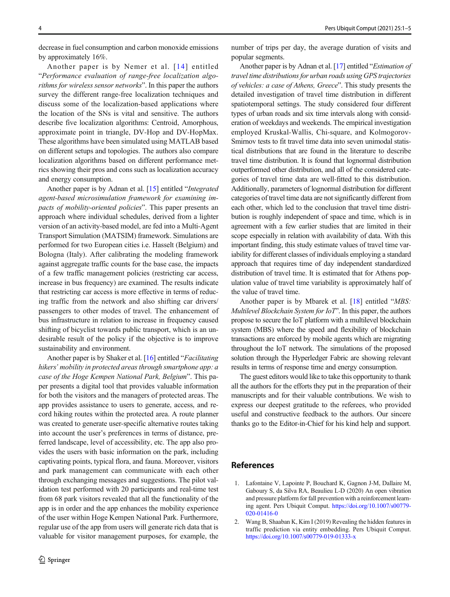<span id="page-3-0"></span>decrease in fuel consumption and carbon monoxide emissions by approximately 16%.

Another paper is by Nemer et al. [[14](#page-4-0)] entitled "Performance evaluation of range-free localization algorithms for wireless sensor networks". In this paper the authors survey the different range-free localization techniques and discuss some of the localization-based applications where the location of the SNs is vital and sensitive. The authors describe five localization algorithms: Centroid, Amorphous, approximate point in triangle, DV-Hop and DV-HopMax. These algorithms have been simulated using MATLAB based on different setups and topologies. The authors also compare localization algorithms based on different performance metrics showing their pros and cons such as localization accuracy and energy consumption.

Another paper is by Adnan et al. [\[15\]](#page-4-0) entitled "Integrated agent-based microsimulation framework for examining impacts of mobility-oriented policies". This paper presents an approach where individual schedules, derived from a lighter version of an activity-based model, are fed into a Multi-Agent Transport Simulation (MATSIM) framework. Simulations are performed for two European cities i.e. Hasselt (Belgium) and Bologna (Italy). After calibrating the modeling framework against aggregate traffic counts for the base case, the impacts of a few traffic management policies (restricting car access, increase in bus frequency) are examined. The results indicate that restricting car access is more effective in terms of reducing traffic from the network and also shifting car drivers/ passengers to other modes of travel. The enhancement of bus infrastructure in relation to increase in frequency caused shifting of bicyclist towards public transport, which is an undesirable result of the policy if the objective is to improve sustainability and environment.

Another paper is by Shaker et al. [\[16](#page-4-0)] entitled "Facilitating hikers' mobility in protected areas through smartphone app: a case of the Hoge Kempen National Park, Belgium". This paper presents a digital tool that provides valuable information for both the visitors and the managers of protected areas. The app provides assistance to users to generate, access, and record hiking routes within the protected area. A route planner was created to generate user-specific alternative routes taking into account the user's preferences in terms of distance, preferred landscape, level of accessibility, etc. The app also provides the users with basic information on the park, including captivating points, typical flora, and fauna. Moreover, visitors and park management can communicate with each other through exchanging messages and suggestions. The pilot validation test performed with 20 participants and real-time test from 68 park visitors revealed that all the functionality of the app is in order and the app enhances the mobility experience of the user within Hoge Kempen National Park. Furthermore, regular use of the app from users will generate rich data that is valuable for visitor management purposes, for example, the

number of trips per day, the average duration of visits and popular segments.

Another paper is by Adnan et al. [[17](#page-4-0)] entitled "Estimation of travel time distributions for urban roads using GPS trajectories of vehicles: a case of Athens, Greece". This study presents the detailed investigation of travel time distribution in different spatiotemporal settings. The study considered four different types of urban roads and six time intervals along with consideration of weekdays and weekends. The empirical investigation employed Kruskal-Wallis, Chi-square, and Kolmogorov-Smirnov tests to fit travel time data into seven unimodal statistical distributions that are found in the literature to describe travel time distribution. It is found that lognormal distribution outperformed other distribution, and all of the considered categories of travel time data are well-fitted to this distribution. Additionally, parameters of lognormal distribution for different categories of travel time data are not significantly different from each other, which led to the conclusion that travel time distribution is roughly independent of space and time, which is in agreement with a few earlier studies that are limited in their scope especially in relation with availability of data. With this important finding, this study estimate values of travel time variability for different classes of individuals employing a standard approach that requires time of day independent standardized distribution of travel time. It is estimated that for Athens population value of travel time variability is approximately half of the value of travel time.

Another paper is by Mbarek et al. [[18\]](#page-4-0) entitled "MBS: Multilevel Blockchain System for IoT". In this paper, the authors propose to secure the IoT platform with a multilevel blockchain system (MBS) where the speed and flexibility of blockchain transactions are enforced by mobile agents which are migrating throughout the IoT network. The simulations of the proposed solution through the Hyperledger Fabric are showing relevant results in terms of response time and energy consumption.

The guest editors would like to take this opportunity to thank all the authors for the efforts they put in the preparation of their manuscripts and for their valuable contributions. We wish to express our deepest gratitude to the referees, who provided useful and constructive feedback to the authors. Our sincere thanks go to the Editor-in-Chief for his kind help and support.

## References

- 1. Lafontaine V, Lapointe P, Bouchard K, Gagnon J-M, Dallaire M, Gaboury S, da Silva RA, Beaulieu L-D (2020) An open vibration and pressure platform for fall prevention with a reinforcement learning agent. Pers Ubiquit Comput. [https://doi.org/10.1007/s00779-](https://doi.org/10.1007/s00779-020-01416-0) [020-01416-0](https://doi.org/10.1007/s00779-020-01416-0)
- 2. Wang B, Shaaban K, Kim I (2019) Revealing the hidden features in traffic prediction via entity embedding. Pers Ubiquit Comput. <https://doi.org/10.1007/s00779-019-01333-x>